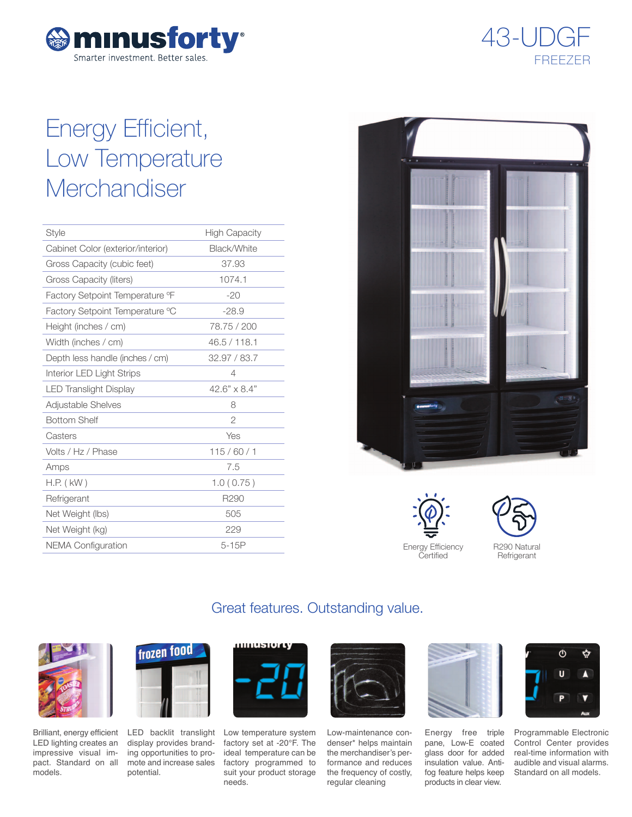



# Energy Efficient, Low Temperature **Merchandiser**

| <b>Style</b>                      | <b>High Capacity</b> |
|-----------------------------------|----------------------|
| Cabinet Color (exterior/interior) | Black/White          |
| Gross Capacity (cubic feet)       | 37.93                |
| Gross Capacity (liters)           | 1074.1               |
| Factory Setpoint Temperature °F   | $-20$                |
| Factory Setpoint Temperature °C   | $-28.9$              |
| Height (inches / cm)              | 78.75 / 200          |
| Width (inches / cm)               | 46.5 / 118.1         |
| Depth less handle (inches / cm)   | 32.97 / 83.7         |
| Interior LED Light Strips         | 4                    |
| <b>LED Translight Display</b>     | $42.6" \times 8.4"$  |
| Adjustable Shelves                | 8                    |
| <b>Bottom Shelf</b>               | $\overline{2}$       |
| Casters                           | Yes                  |
| Volts / Hz / Phase                | 115/60/1             |
| Amps                              | 7.5                  |
| $H.P.$ ( $kW$ )                   | 1.0(0.75)            |
| Refrigerant                       | R290                 |
| Net Weight (lbs)                  | 505                  |
| Net Weight (kg)                   | 229                  |
| <b>NEMA Configuration</b>         | $5-15P$              |



Energy Efficiency **Certified** 



**Refrigerant** 

# Great features. Outstanding value.



Brilliant, energy efficient LED lighting creates an impressive visual impact. Standard on all models.



display provides branding opportunities to promote and increase sales potential.



LED backlit translight Low temperature system factory set at -20°F. The ideal temperature can be factory programmed to suit your product storage needs.



Low-maintenance condenser\* helps maintain the merchandiser's performance and reduces the frequency of costly, regular cleaning



Energy free triple pane, Low-E coated glass door for added insulation value. Antifog feature helps keep products in clear view.



Programmable Electronic Control Center provides real-time information with audible and visual alarms. Standard on all models.